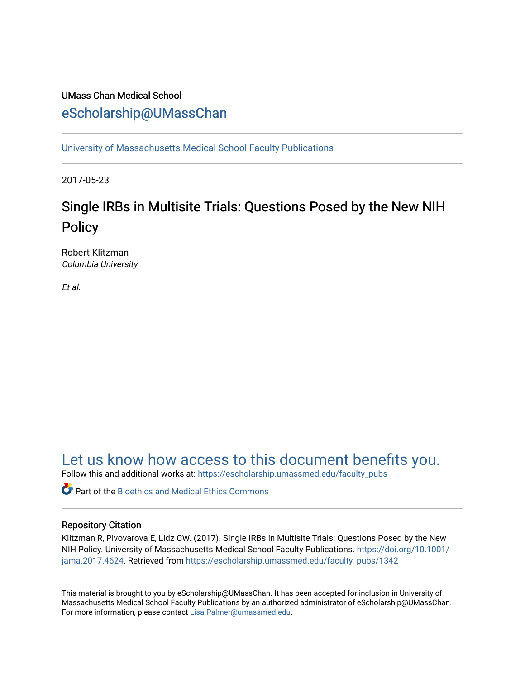## UMass Chan Medical School [eScholarship@UMassChan](https://escholarship.umassmed.edu/)

[University of Massachusetts Medical School Faculty Publications](https://escholarship.umassmed.edu/faculty_pubs)

2017-05-23

# Single IRBs in Multisite Trials: Questions Posed by the New NIH **Policy**

Robert Klitzman Columbia University

Et al.

## [Let us know how access to this document benefits you.](https://arcsapps.umassmed.edu/redcap/surveys/?s=XWRHNF9EJE)

Follow this and additional works at: [https://escholarship.umassmed.edu/faculty\\_pubs](https://escholarship.umassmed.edu/faculty_pubs?utm_source=escholarship.umassmed.edu%2Ffaculty_pubs%2F1342&utm_medium=PDF&utm_campaign=PDFCoverPages) 

Part of the [Bioethics and Medical Ethics Commons](http://network.bepress.com/hgg/discipline/650?utm_source=escholarship.umassmed.edu%2Ffaculty_pubs%2F1342&utm_medium=PDF&utm_campaign=PDFCoverPages) 

### Repository Citation

Klitzman R, Pivovarova E, Lidz CW. (2017). Single IRBs in Multisite Trials: Questions Posed by the New NIH Policy. University of Massachusetts Medical School Faculty Publications. [https://doi.org/10.1001/](https://doi.org/10.1001/jama.2017.4624) [jama.2017.4624](https://doi.org/10.1001/jama.2017.4624). Retrieved from [https://escholarship.umassmed.edu/faculty\\_pubs/1342](https://escholarship.umassmed.edu/faculty_pubs/1342?utm_source=escholarship.umassmed.edu%2Ffaculty_pubs%2F1342&utm_medium=PDF&utm_campaign=PDFCoverPages) 

This material is brought to you by eScholarship@UMassChan. It has been accepted for inclusion in University of Massachusetts Medical School Faculty Publications by an authorized administrator of eScholarship@UMassChan. For more information, please contact [Lisa.Palmer@umassmed.edu](mailto:Lisa.Palmer@umassmed.edu).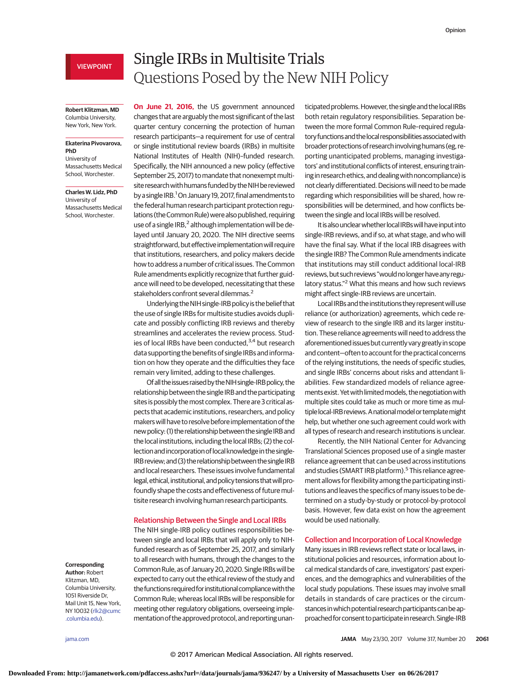### VIEWPOINT

#### **Robert Klitzman, MD** Columbia University, New York, New York.

#### **Ekaterina Pivovarova, PhD** University of

Massachusetts Medical School, Worchester.

**Charles W. Lidz, PhD** University of Massachusetts Medical School, Worchester.

## Single IRBs in Multisite Trials Questions Posed by the New NIH Policy

**On June 21, 2016,** the US government announced changes that are arguably the most significant of the last quarter century concerning the protection of human research participants—a requirement for use of central or single institutional review boards (IRBs) in multisite National Institutes of Health (NIH)–funded research. Specifically, the NIH announced a new policy (effective September 25, 2017) to mandate that nonexempt multisite research with humans funded by the NIH be reviewed by a single IRB.<sup>1</sup> On January 19, 2017, final amendments to the federal human research participant protection regulations (the Common Rule) were also published, requiring use of a single IRB, $^2$  although implementation will be delayed until January 20, 2020. The NIH directive seems straightforward, but effective implementation will require that institutions, researchers, and policy makers decide how to address a number of critical issues. The Common Rule amendments explicitly recognize that further guidance will need to be developed, necessitating that these stakeholders confront several dilemmas.2

Underlying theNIH single-IRB policy is the belief that the use of single IRBs for multisite studies avoids duplicate and possibly conflicting IRB reviews and thereby streamlines and accelerates the review process. Studies of local IRBs have been conducted,<sup>3,4</sup> but research data supporting the benefits of single IRBs and information on how they operate and the difficulties they face remain very limited, adding to these challenges.

Of all the issues raised by the NIH single-IRB policy, the relationship between the single IRB and the participating sites is possibly themost complex. There are 3 critical aspects that academic institutions, researchers, and policy makerswill have to resolve before implementation of the new policy: (1) the relationship between the single IRB and the local institutions, including the local IRBs; (2) the collection and incorporation of local knowledge in the single-IRB review; and (3) the relationship between the single IRB and local researchers. These issues involve fundamental legal, ethical, institutional, and policy tensions that will profoundly shape the costs and effectiveness of future multisite research involving human research participants.

#### Relationship Between the Single and Local IRBs

The NIH single-IRB policy outlines responsibilities between single and local IRBs that will apply only to NIHfunded research as of September 25, 2017, and similarly to all research with humans, through the changes to the Common Rule, as of January 20, 2020. Single IRBs will be expected to carry out the ethical review of the study and the functions required for institutional compliance with the Common Rule; whereas local IRBs will be responsible for meeting other regulatory obligations, overseeing implementation of the approved protocol, and reporting unanticipated problems. However, the single and the local IRBs both retain regulatory responsibilities. Separation between the more formal Common Rule–required regulatory functions and the local responsibilities associated with broader protections of research involving humans (eg, reporting unanticipated problems, managing investigators' and institutional conflicts of interest, ensuring training in research ethics, and dealing with noncompliance) is not clearly differentiated. Decisions will need to be made regarding which responsibilities will be shared, how responsibilities will be determined, and how conflicts between the single and local IRBs will be resolved.

It is also unclear whether local IRBs will have input into single-IRB reviews, and if so, at what stage, and who will have the final say. What if the local IRB disagrees with the single IRB? The Common Rule amendments indicate that institutions may still conduct additional local-IRB reviews, but such reviews "would no longer have any regulatory status."2 What this means and how such reviews might affect single-IRB reviews are uncertain.

Local IRBs and the institutions they represent will use reliance (or authorization) agreements, which cede review of research to the single IRB and its larger institution. These reliance agreements will need to address the aforementioned issues but currentlyvary greatly in scope and content—often to account for the practical concerns of the relying institutions, the needs of specific studies, and single IRBs' concerns about risks and attendant liabilities. Few standardized models of reliance agreements exist. Yet with limited models, the negotiation with multiple sites could take as much or more time as multiple local-IRB reviews. A national model or template might help, but whether one such agreement could work with all types of research and research institutions is unclear.

Recently, the NIH National Center for Advancing Translational Sciences proposed use of a single master reliance agreement that can be used across institutions and studies (SMART IRB platform).<sup>5</sup> This reliance agreement allows for flexibility among the participating institutions and leaves the specifics of many issues to be determined on a study-by-study or protocol-by-protocol basis. However, few data exist on how the agreement would be used nationally.

#### Collection and Incorporation of Local Knowledge

Many issues in IRB reviews reflect state or local laws, institutional policies and resources, information about local medical standards of care, investigators' past experiences, and the demographics and vulnerabilities of the local study populations. These issues may involve small details in standards of care practices or the circumstances in which potential research participants can be approached forconsent toparticipatein research.Single-IRB

### **Corresponding**

**Author:** Robert Klitzman, MD, Columbia University, 1051 Riverside Dr, Mail Unit 15, New York, NY 10032 [\(rlk2@cumc](mailto:rlk2@cumc.columbia.edu) [.columbia.edu\)](mailto:rlk2@cumc.columbia.edu).